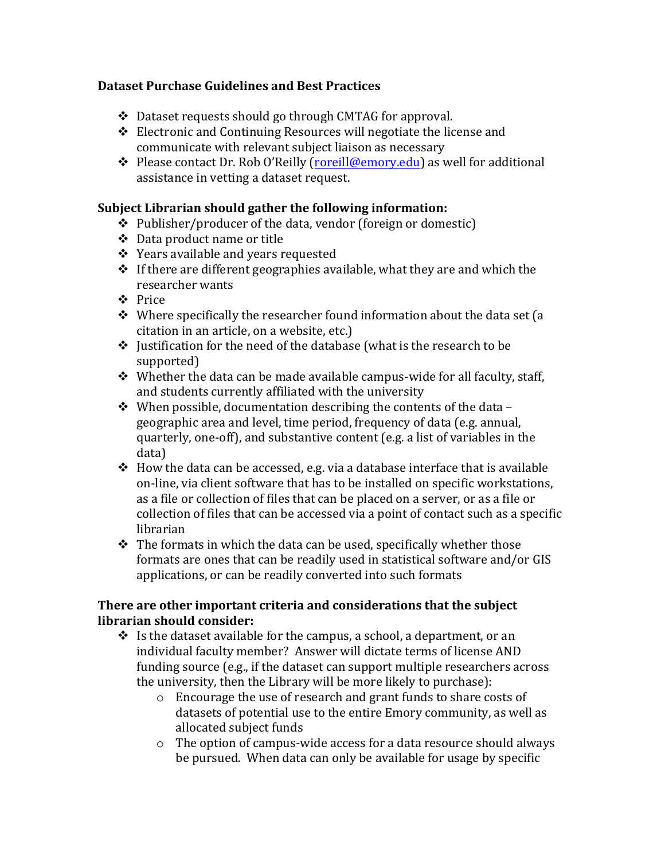## **Dataset Purchase Guidelines and Best Practices**

- $\div$  Dataset requests should go through CMTAG for approval.
- $\triangle$  Electronic and Continuing Resources will negotiate the license and communicate with relevant subject liaison as necessary
- ❖ Please contact Dr. Rob O'Reilly (roreill@emory.edu) as well for additional assistance in vetting a dataset request.

## Subject Librarian should gather the following information:

- $\div$  Publisher/producer of the data, vendor (foreign or domestic)
- ❖ Data product name or title
- $\div$  Years available and years requested
- $\cdot$  If there are different geographies available, what they are and which the researcher wants
- v Price
- $\cdot$  Where specifically the researcher found information about the data set (a citation in an article, on a website, etc.)
- $\cdot$  Justification for the need of the database (what is the research to be supported)
- $\cdot$  Whether the data can be made available campus-wide for all faculty, staff, and students currently affiliated with the university
- $\cdot$  When possible, documentation describing the contents of the data geographic area and level, time period, frequency of data (e.g. annual, quarterly, one-off), and substantive content (e.g. a list of variables in the data)
- $\cdot$  How the data can be accessed, e.g. via a database interface that is available on-line, via client software that has to be installed on specific workstations, as a file or collection of files that can be placed on a server, or as a file or collection of files that can be accessed via a point of contact such as a specific librarian
- $\cdot$  The formats in which the data can be used, specifically whether those formats are ones that can be readily used in statistical software and/or GIS applications, or can be readily converted into such formats

## **There are other important criteria and considerations that the subject librarian should consider:**

- $\cdot$  Is the dataset available for the campus, a school, a department, or an individual faculty member? Answer will dictate terms of license AND funding source (e.g., if the dataset can support multiple researchers across the university, then the Library will be more likely to purchase):
	- $\circ$  Encourage the use of research and grant funds to share costs of datasets of potential use to the entire Emory community, as well as allocated subject funds
	- $\circ$  The option of campus-wide access for a data resource should always be pursued. When data can only be available for usage by specific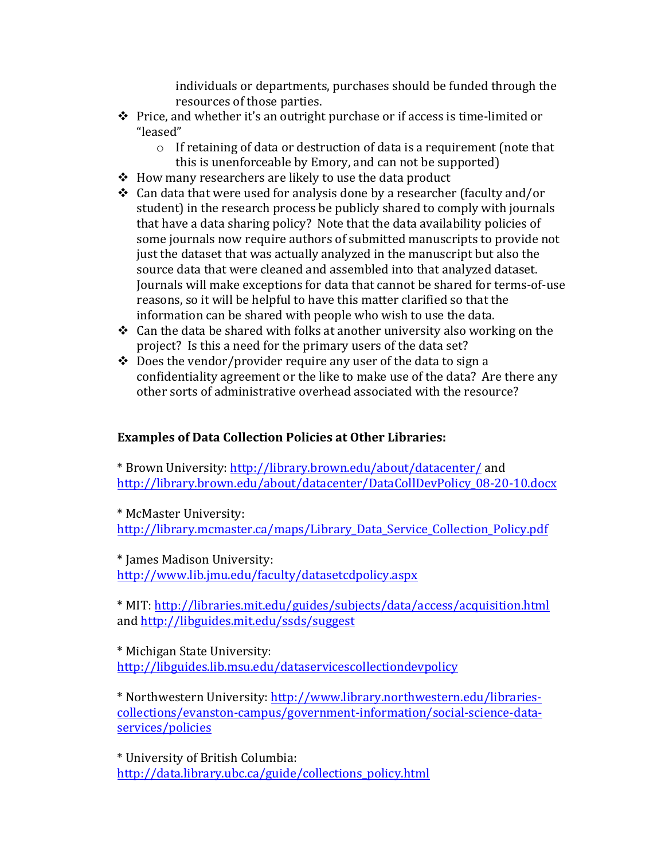individuals or departments, purchases should be funded through the resources of those parties.

- $\cdot$  Price, and whether it's an outright purchase or if access is time-limited or "leased"
	- $\circ$  If retaining of data or destruction of data is a requirement (note that this is unenforceable by Emory, and can not be supported)
- $\div$  How many researchers are likely to use the data product
- $\cdot$  Can data that were used for analysis done by a researcher (faculty and/or student) in the research process be publicly shared to comply with journals that have a data sharing policy? Note that the data availability policies of some journals now require authors of submitted manuscripts to provide not just the dataset that was actually analyzed in the manuscript but also the source data that were cleaned and assembled into that analyzed dataset. Journals will make exceptions for data that cannot be shared for terms-of-use reasons, so it will be helpful to have this matter clarified so that the information can be shared with people who wish to use the data.
- $\div$  Can the data be shared with folks at another university also working on the project? Is this a need for the primary users of the data set?
- $\div$  Does the vendor/provider require any user of the data to sign a confidentiality agreement or the like to make use of the data? Are there any other sorts of administrative overhead associated with the resource?

## **Examples of Data Collection Policies at Other Libraries:**

\* Brown University: http://library.brown.edu/about/datacenter/ and http://library.brown.edu/about/datacenter/DataCollDevPolicy\_08-20-10.docx

\* McMaster University: http://library.mcmaster.ca/maps/Library\_Data\_Service\_Collection\_Policy.pdf

\* James Madison University: http://www.lib.jmu.edu/faculty/datasetcdpolicy.aspx

\* MIT: http://libraries.mit.edu/guides/subjects/data/access/acquisition.html and http://libguides.mit.edu/ssds/suggest

\* Michigan State University: http://libguides.lib.msu.edu/dataservicescollectiondevpolicy

\* Northwestern University: http://www.library.northwestern.edu/librariescollections/evanston-campus/government-information/social-science-dataservices/policies

\* University of British Columbia: http://data.library.ubc.ca/guide/collections\_policy.html